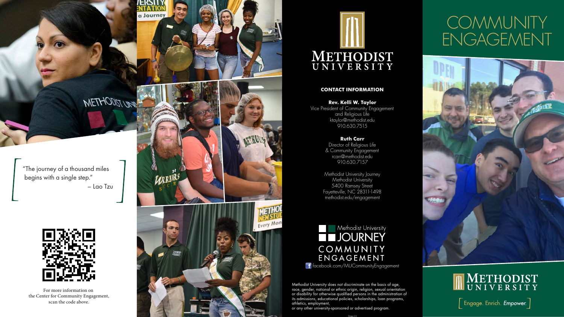

a Journey

# **COMMUNITY** ENGAGEMENT





 $\left\lceil \frac{1}{2} \right\rceil$  Engage. Enrich. *Empower*.  $\left\lceil \frac{1}{2} \right\rceil$ 

### **CONTACT INFORMATION**

**Rev. Kelli W. Taylor** Vice President of Community Engagement and Religious Life ktaylor@methodist.edu 910.630.7515

> **Ruth Carr** Director of Religious Life & Community Engagement rcarr@methodist.edu 910.630.7157

Methodist University Journey Methodist University 5400 Ramsey Street Fayetteville, NC 28311-1498 methodist.edu/engagement

**Methodist University THUOURNEY** COMMUNITY ENGAGEMENT f facebook.com/MUCommunityEngagement

Methodist University does not discriminate on the basis of age, race, gender, national or ethnic origin, religion, sexual orientation or disability for otherwise qualified persons in the administration of its admissions, educational policies, scholarships, loan programs, athletics, employment,

or any other university-sponsored or advertised program.

For more information on the Center for Community Engagement, scan the code above.





"The journey of a thousand miles begins with a single step." – Lao Tzu